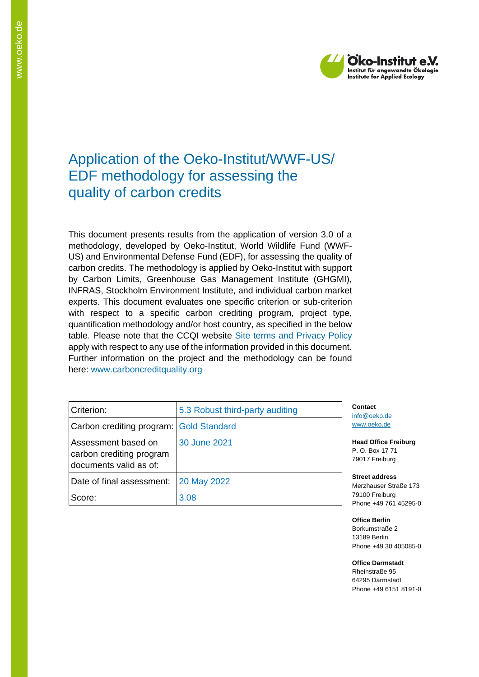

# Application of the Oeko-Institut/WWF-US/ EDF methodology for assessing the quality of carbon credits

This document presents results from the application of version 3.0 of a methodology, developed by Oeko-Institut, World Wildlife Fund (WWF-US) and Environmental Defense Fund (EDF), for assessing the quality of carbon credits. The methodology is applied by Oeko-Institut with support by Carbon Limits, Greenhouse Gas Management Institute (GHGMI), INFRAS, Stockholm Environment Institute, and individual carbon market experts. This document evaluates one specific criterion or sub-criterion with respect to a specific carbon crediting program, project type, quantification methodology and/or host country, as specified in the below table. Please note that the CCQI website [Site terms and Privacy Policy](https://carboncreditquality.org/terms.html) apply with respect to any use of the information provided in this document. Further information on the project and the methodology can be found here: [www.carboncreditquality.org](http://www.carboncreditquality.org/)

| Criterion:                                                                | 5.3 Robust third-party auditing | Contact<br>info@oek                       |
|---------------------------------------------------------------------------|---------------------------------|-------------------------------------------|
| Carbon crediting program: Gold Standard                                   |                                 | www.oeko                                  |
| Assessment based on<br>carbon crediting program<br>documents valid as of: | 30 June 2021                    | <b>Head Offi</b><br>P.O. Box<br>79017 Fre |
| Date of final assessment:                                                 | 20 May 2022                     | Street ad<br>Merzhaus                     |
| Score:                                                                    | 3.08                            | 79100 Fre<br>Phone $+4$                   |

o.de o.de

**Read Freiburg** 17 71 <sub>P</sub>iburg

**Street address** er Straße 173 79100 Freiburg 9 761 45295-0

**Office Berlin** Borkumstraße 2 13189 Berlin Phone +49 30 405085-0

**Office Darmstadt**

Rheinstraße 95 64295 Darmstadt Phone +49 6151 8191-0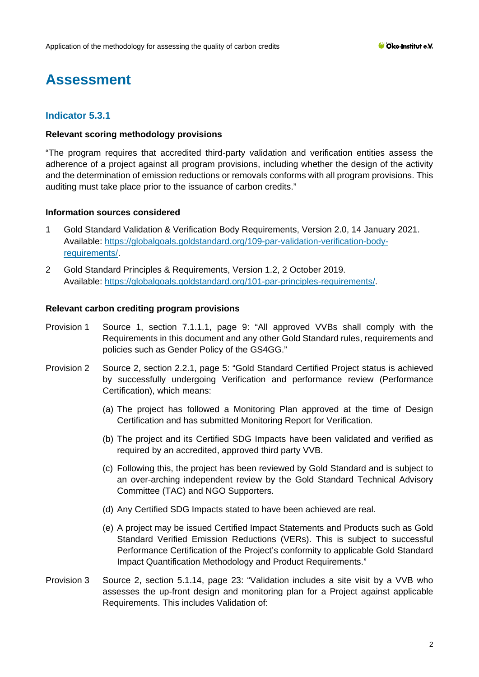# **Assessment**

## **Indicator 5.3.1**

### **Relevant scoring methodology provisions**

"The program requires that accredited third-party validation and verification entities assess the adherence of a project against all program provisions, including whether the design of the activity and the determination of emission reductions or removals conforms with all program provisions. This auditing must take place prior to the issuance of carbon credits."

### **Information sources considered**

- 1 Gold Standard Validation & Verification Body Requirements, Version 2.0, 14 January 2021. Available: [https://globalgoals.goldstandard.org/109-par-validation-verification-body](https://globalgoals.goldstandard.org/109-par-validation-verification-body-requirements/)[requirements/.](https://globalgoals.goldstandard.org/109-par-validation-verification-body-requirements/)
- 2 Gold Standard Principles & Requirements, Version 1.2, 2 October 2019. Available: [https://globalgoals.goldstandard.org/101-par-principles-requirements/.](https://globalgoals.goldstandard.org/101-par-principles-requirements/)

- Provision 1 Source 1, section 7.1.1.1, page 9: "All approved VVBs shall comply with the Requirements in this document and any other Gold Standard rules, requirements and policies such as Gender Policy of the GS4GG."
- Provision 2 Source 2, section 2.2.1, page 5: "Gold Standard Certified Project status is achieved by successfully undergoing Verification and performance review (Performance Certification), which means:
	- (a) The project has followed a Monitoring Plan approved at the time of Design Certification and has submitted Monitoring Report for Verification.
	- (b) The project and its Certified SDG Impacts have been validated and verified as required by an accredited, approved third party VVB.
	- (c) Following this, the project has been reviewed by Gold Standard and is subject to an over-arching independent review by the Gold Standard Technical Advisory Committee (TAC) and NGO Supporters.
	- (d) Any Certified SDG Impacts stated to have been achieved are real.
	- (e) A project may be issued Certified Impact Statements and Products such as Gold Standard Verified Emission Reductions (VERs). This is subject to successful Performance Certification of the Project's conformity to applicable Gold Standard Impact Quantification Methodology and Product Requirements."
- Provision 3 Source 2, section 5.1.14, page 23: "Validation includes a site visit by a VVB who assesses the up-front design and monitoring plan for a Project against applicable Requirements. This includes Validation of: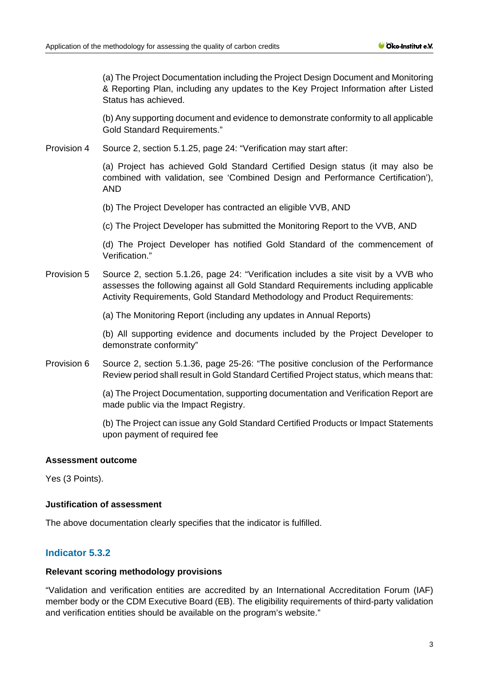(a) The Project Documentation including the Project Design Document and Monitoring & Reporting Plan, including any updates to the Key Project Information after Listed Status has achieved.

(b) Any supporting document and evidence to demonstrate conformity to all applicable Gold Standard Requirements."

Provision 4 Source 2, section 5.1.25, page 24: "Verification may start after:

(a) Project has achieved Gold Standard Certified Design status (it may also be combined with validation, see 'Combined Design and Performance Certification'), AND

(b) The Project Developer has contracted an eligible VVB, AND

(c) The Project Developer has submitted the Monitoring Report to the VVB, AND

(d) The Project Developer has notified Gold Standard of the commencement of Verification."

Provision 5 Source 2, section 5.1.26, page 24: "Verification includes a site visit by a VVB who assesses the following against all Gold Standard Requirements including applicable Activity Requirements, Gold Standard Methodology and Product Requirements:

(a) The Monitoring Report (including any updates in Annual Reports)

(b) All supporting evidence and documents included by the Project Developer to demonstrate conformity"

Provision 6 Source 2, section 5.1.36, page 25-26: "The positive conclusion of the Performance Review period shall result in Gold Standard Certified Project status, which means that:

> (a) The Project Documentation, supporting documentation and Verification Report are made public via the Impact Registry.

> (b) The Project can issue any Gold Standard Certified Products or Impact Statements upon payment of required fee

## **Assessment outcome**

Yes (3 Points).

## **Justification of assessment**

The above documentation clearly specifies that the indicator is fulfilled.

# **Indicator 5.3.2**

#### **Relevant scoring methodology provisions**

"Validation and verification entities are accredited by an International Accreditation Forum (IAF) member body or the CDM Executive Board (EB). The eligibility requirements of third-party validation and verification entities should be available on the program's website."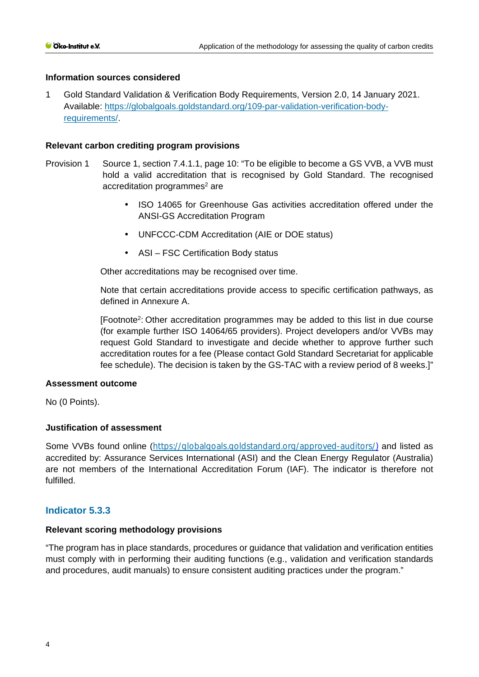## **Information sources considered**

1 Gold Standard Validation & Verification Body Requirements, Version 2.0, 14 January 2021. Available: [https://globalgoals.goldstandard.org/109-par-validation-verification-body](https://globalgoals.goldstandard.org/109-par-validation-verification-body-requirements/)[requirements/.](https://globalgoals.goldstandard.org/109-par-validation-verification-body-requirements/)

### **Relevant carbon crediting program provisions**

- Provision 1 Source 1, section 7.4.1.1, page 10: "To be eligible to become a GS VVB, a VVB must hold a valid accreditation that is recognised by Gold Standard. The recognised accreditation programmes<sup>2</sup> are
	- ISO 14065 for Greenhouse Gas activities accreditation offered under the ANSI-GS Accreditation Program
	- UNFCCC-CDM Accreditation (AIE or DOE status)
	- ASI FSC Certification Body status

Other accreditations may be recognised over time.

Note that certain accreditations provide access to specific certification pathways, as defined in Annexure A.

[Footnote2: Other accreditation programmes may be added to this list in due course (for example further ISO 14064/65 providers). Project developers and/or VVBs may request Gold Standard to investigate and decide whether to approve further such accreditation routes for a fee (Please contact Gold Standard Secretariat for applicable fee schedule). The decision is taken by the GS-TAC with a review period of 8 weeks.]"

#### **Assessment outcome**

No (0 Points).

## **Justification of assessment**

Some VVBs found online ([https://globalgoals.goldstandard.org/approved-auditors/\)](https://globalgoals.goldstandard.org/approved-auditors/) and listed as accredited by: Assurance Services International (ASI) and the Clean Energy Regulator (Australia) are not members of the International Accreditation Forum (IAF). The indicator is therefore not fulfilled.

## **Indicator 5.3.3**

#### **Relevant scoring methodology provisions**

"The program has in place standards, procedures or guidance that validation and verification entities must comply with in performing their auditing functions (e.g., validation and verification standards and procedures, audit manuals) to ensure consistent auditing practices under the program."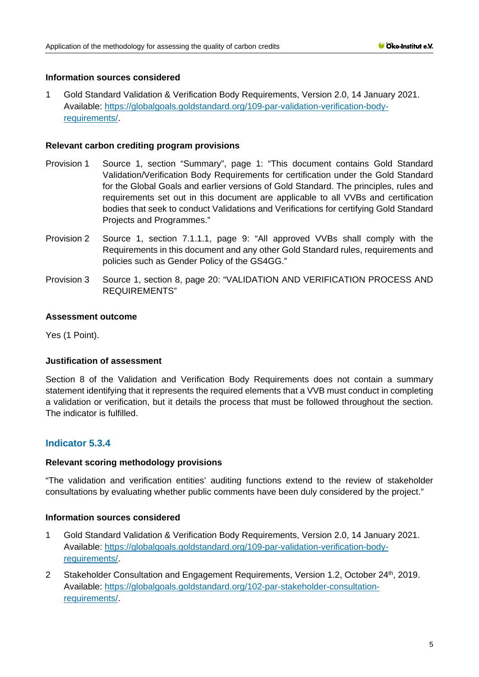## **Information sources considered**

1 Gold Standard Validation & Verification Body Requirements, Version 2.0, 14 January 2021. Available: [https://globalgoals.goldstandard.org/109-par-validation-verification-body](https://globalgoals.goldstandard.org/109-par-validation-verification-body-requirements/)[requirements/.](https://globalgoals.goldstandard.org/109-par-validation-verification-body-requirements/)

### **Relevant carbon crediting program provisions**

- Provision 1 Source 1, section "Summary", page 1: "This document contains Gold Standard Validation/Verification Body Requirements for certification under the Gold Standard for the Global Goals and earlier versions of Gold Standard. The principles, rules and requirements set out in this document are applicable to all VVBs and certification bodies that seek to conduct Validations and Verifications for certifying Gold Standard Projects and Programmes."
- Provision 2 Source 1, section 7.1.1.1, page 9: "All approved VVBs shall comply with the Requirements in this document and any other Gold Standard rules, requirements and policies such as Gender Policy of the GS4GG."
- Provision 3 Source 1, section 8, page 20: "VALIDATION AND VERIFICATION PROCESS AND REQUIREMENTS"

### **Assessment outcome**

Yes (1 Point).

## **Justification of assessment**

Section 8 of the Validation and Verification Body Requirements does not contain a summary statement identifying that it represents the required elements that a VVB must conduct in completing a validation or verification, but it details the process that must be followed throughout the section. The indicator is fulfilled.

# **Indicator 5.3.4**

#### **Relevant scoring methodology provisions**

"The validation and verification entities' auditing functions extend to the review of stakeholder consultations by evaluating whether public comments have been duly considered by the project."

#### **Information sources considered**

- 1 Gold Standard Validation & Verification Body Requirements, Version 2.0, 14 January 2021. Available: [https://globalgoals.goldstandard.org/109-par-validation-verification-body](https://globalgoals.goldstandard.org/109-par-validation-verification-body-requirements/)[requirements/.](https://globalgoals.goldstandard.org/109-par-validation-verification-body-requirements/)
- 2 Stakeholder Consultation and Engagement Requirements, Version 1.2, October 24th, 2019. Available: [https://globalgoals.goldstandard.org/102-par-stakeholder-consultation](https://globalgoals.goldstandard.org/102-par-stakeholder-consultation-requirements/)[requirements/.](https://globalgoals.goldstandard.org/102-par-stakeholder-consultation-requirements/)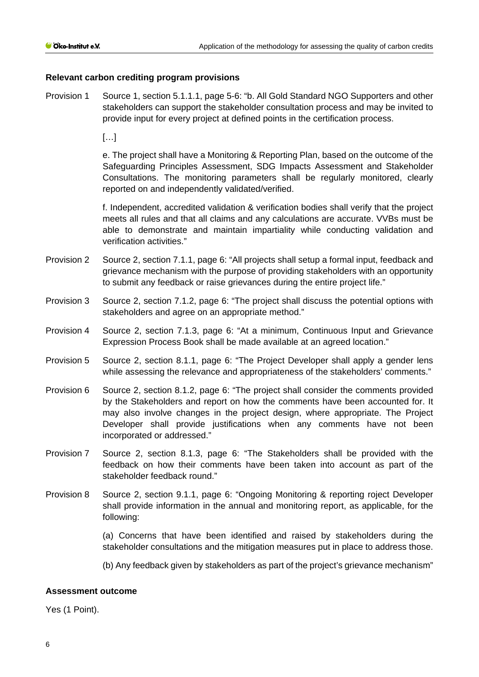## **Relevant carbon crediting program provisions**

Provision 1 Source 1, section 5.1.1.1, page 5-6: "b. All Gold Standard NGO Supporters and other stakeholders can support the stakeholder consultation process and may be invited to provide input for every project at defined points in the certification process.

[…]

e. The project shall have a Monitoring & Reporting Plan, based on the outcome of the Safeguarding Principles Assessment, SDG Impacts Assessment and Stakeholder Consultations. The monitoring parameters shall be regularly monitored, clearly reported on and independently validated/verified.

f. Independent, accredited validation & verification bodies shall verify that the project meets all rules and that all claims and any calculations are accurate. VVBs must be able to demonstrate and maintain impartiality while conducting validation and verification activities."

- Provision 2 Source 2, section 7.1.1, page 6: "All projects shall setup a formal input, feedback and grievance mechanism with the purpose of providing stakeholders with an opportunity to submit any feedback or raise grievances during the entire project life."
- Provision 3 Source 2, section 7.1.2, page 6: "The project shall discuss the potential options with stakeholders and agree on an appropriate method."
- Provision 4 Source 2, section 7.1.3, page 6: "At a minimum, Continuous Input and Grievance Expression Process Book shall be made available at an agreed location."
- Provision 5 Source 2, section 8.1.1, page 6: "The Project Developer shall apply a gender lens while assessing the relevance and appropriateness of the stakeholders' comments."
- Provision 6 Source 2, section 8.1.2, page 6: "The project shall consider the comments provided by the Stakeholders and report on how the comments have been accounted for. It may also involve changes in the project design, where appropriate. The Project Developer shall provide justifications when any comments have not been incorporated or addressed."
- Provision 7 Source 2, section 8.1.3, page 6: "The Stakeholders shall be provided with the feedback on how their comments have been taken into account as part of the stakeholder feedback round."
- Provision 8 Source 2, section 9.1.1, page 6: "Ongoing Monitoring & reporting roject Developer shall provide information in the annual and monitoring report, as applicable, for the following:

(a) Concerns that have been identified and raised by stakeholders during the stakeholder consultations and the mitigation measures put in place to address those.

(b) Any feedback given by stakeholders as part of the project's grievance mechanism"

#### **Assessment outcome**

Yes (1 Point).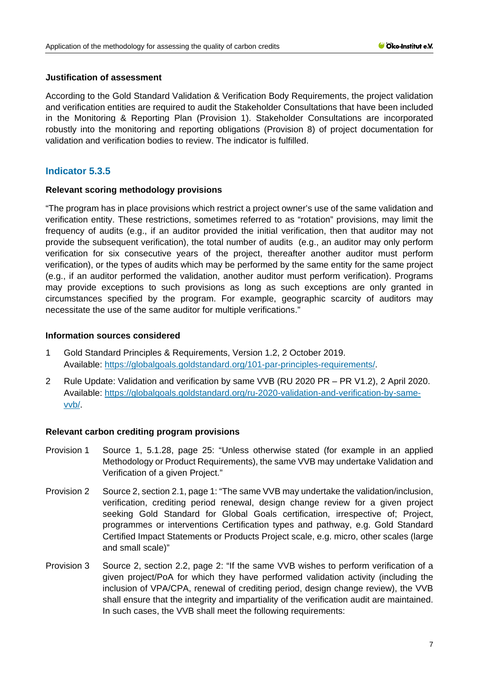## **Justification of assessment**

According to the Gold Standard Validation & Verification Body Requirements, the project validation and verification entities are required to audit the Stakeholder Consultations that have been included in the Monitoring & Reporting Plan (Provision 1). Stakeholder Consultations are incorporated robustly into the monitoring and reporting obligations (Provision 8) of project documentation for validation and verification bodies to review. The indicator is fulfilled.

# **Indicator 5.3.5**

### **Relevant scoring methodology provisions**

"The program has in place provisions which restrict a project owner's use of the same validation and verification entity. These restrictions, sometimes referred to as "rotation" provisions, may limit the frequency of audits (e.g., if an auditor provided the initial verification, then that auditor may not provide the subsequent verification), the total number of audits (e.g., an auditor may only perform verification for six consecutive years of the project, thereafter another auditor must perform verification), or the types of audits which may be performed by the same entity for the same project (e.g., if an auditor performed the validation, another auditor must perform verification). Programs may provide exceptions to such provisions as long as such exceptions are only granted in circumstances specified by the program. For example, geographic scarcity of auditors may necessitate the use of the same auditor for multiple verifications."

### **Information sources considered**

- 1 Gold Standard Principles & Requirements, Version 1.2, 2 October 2019. Available: [https://globalgoals.goldstandard.org/101-par-principles-requirements/.](https://globalgoals.goldstandard.org/101-par-principles-requirements/)
- 2 Rule Update: Validation and verification by same VVB (RU 2020 PR PR V1.2), 2 April 2020. Available: [https://globalgoals.goldstandard.org/ru-2020-validation-and-verification-by-same](https://globalgoals.goldstandard.org/ru-2020-validation-and-verification-by-same-vvb/)[vvb/.](https://globalgoals.goldstandard.org/ru-2020-validation-and-verification-by-same-vvb/)

- Provision 1 Source 1, 5.1.28, page 25: "Unless otherwise stated (for example in an applied Methodology or Product Requirements), the same VVB may undertake Validation and Verification of a given Project."
- Provision 2 Source 2, section 2.1, page 1: "The same VVB may undertake the validation/inclusion, verification, crediting period renewal, design change review for a given project seeking Gold Standard for Global Goals certification, irrespective of; Project, programmes or interventions Certification types and pathway, e.g. Gold Standard Certified Impact Statements or Products Project scale, e.g. micro, other scales (large and small scale)"
- Provision 3 Source 2, section 2.2, page 2: "If the same VVB wishes to perform verification of a given project/PoA for which they have performed validation activity (including the inclusion of VPA/CPA, renewal of crediting period, design change review), the VVB shall ensure that the integrity and impartiality of the verification audit are maintained. In such cases, the VVB shall meet the following requirements: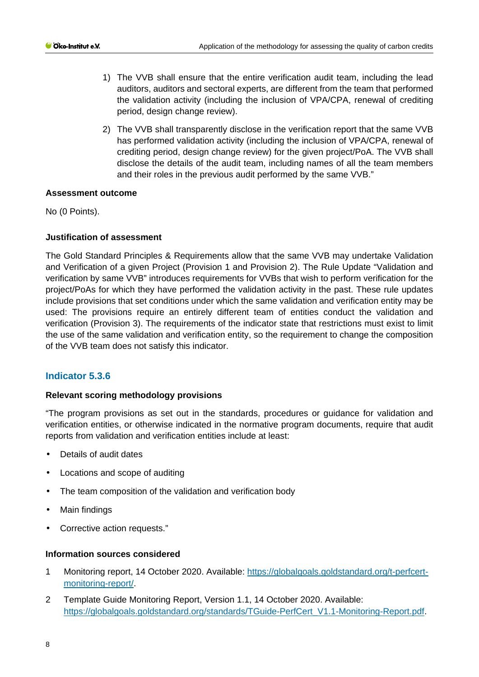- 1) The VVB shall ensure that the entire verification audit team, including the lead auditors, auditors and sectoral experts, are different from the team that performed the validation activity (including the inclusion of VPA/CPA, renewal of crediting period, design change review).
- 2) The VVB shall transparently disclose in the verification report that the same VVB has performed validation activity (including the inclusion of VPA/CPA, renewal of crediting period, design change review) for the given project/PoA. The VVB shall disclose the details of the audit team, including names of all the team members and their roles in the previous audit performed by the same VVB."

### **Assessment outcome**

No (0 Points).

## **Justification of assessment**

The Gold Standard Principles & Requirements allow that the same VVB may undertake Validation and Verification of a given Project (Provision 1 and Provision 2). The Rule Update "Validation and verification by same VVB" introduces requirements for VVBs that wish to perform verification for the project/PoAs for which they have performed the validation activity in the past. These rule updates include provisions that set conditions under which the same validation and verification entity may be used: The provisions require an entirely different team of entities conduct the validation and verification (Provision 3). The requirements of the indicator state that restrictions must exist to limit the use of the same validation and verification entity, so the requirement to change the composition of the VVB team does not satisfy this indicator.

## **Indicator 5.3.6**

#### **Relevant scoring methodology provisions**

"The program provisions as set out in the standards, procedures or guidance for validation and verification entities, or otherwise indicated in the normative program documents, require that audit reports from validation and verification entities include at least:

- Details of audit dates
- $\hat{\mathbf{r}}$ Locations and scope of auditing
- $\ddot{\phantom{a}}$ The team composition of the validation and verification body
- Main findings t.
- Corrective action requests."  $\mathcal{L}^{\pm}$

#### **Information sources considered**

- 1 Monitoring report, 14 October 2020. Available: [https://globalgoals.goldstandard.org/t-perfcert](https://globalgoals.goldstandard.org/t-perfcert-monitoring-report/)[monitoring-report/.](https://globalgoals.goldstandard.org/t-perfcert-monitoring-report/)
- 2 Template Guide Monitoring Report, Version 1.1, 14 October 2020. Available: [https://globalgoals.goldstandard.org/standards/TGuide-PerfCert\\_V1.1-Monitoring-Report.pdf.](https://globalgoals.goldstandard.org/standards/TGuide-PerfCert_V1.1-Monitoring-Report.pdf)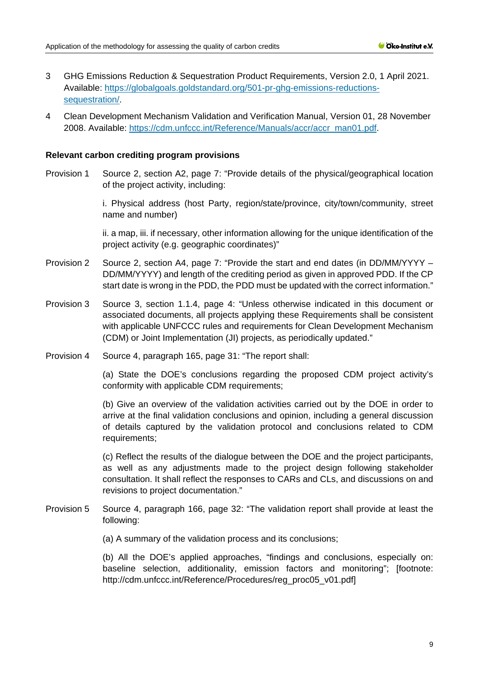- 3 GHG Emissions Reduction & Sequestration Product Requirements, Version 2.0, 1 April 2021. Available: [https://globalgoals.goldstandard.org/501-pr-ghg-emissions-reductions](https://globalgoals.goldstandard.org/501-pr-ghg-emissions-reductions-sequestration/)[sequestration/.](https://globalgoals.goldstandard.org/501-pr-ghg-emissions-reductions-sequestration/)
- 4 Clean Development Mechanism Validation and Verification Manual, Version 01, 28 November 2008. Available: [https://cdm.unfccc.int/Reference/Manuals/accr/accr\\_man01.pdf.](https://cdm.unfccc.int/Reference/Manuals/accr/accr_man01.pdf)

#### **Relevant carbon crediting program provisions**

Provision 1 Source 2, section A2, page 7: "Provide details of the physical/geographical location of the project activity, including:

> i. Physical address (host Party, region/state/province, city/town/community, street name and number)

> ii. a map, iii. if necessary, other information allowing for the unique identification of the project activity (e.g. geographic coordinates)"

- Provision 2 Source 2, section A4, page 7: "Provide the start and end dates (in DD/MM/YYYY DD/MM/YYYY) and length of the crediting period as given in approved PDD. If the CP start date is wrong in the PDD, the PDD must be updated with the correct information."
- Provision 3 Source 3, section 1.1.4, page 4: "Unless otherwise indicated in this document or associated documents, all projects applying these Requirements shall be consistent with applicable UNFCCC rules and requirements for Clean Development Mechanism (CDM) or Joint Implementation (JI) projects, as periodically updated."
- Provision 4 Source 4, paragraph 165, page 31: "The report shall:

(a) State the DOE's conclusions regarding the proposed CDM project activity's conformity with applicable CDM requirements;

(b) Give an overview of the validation activities carried out by the DOE in order to arrive at the final validation conclusions and opinion, including a general discussion of details captured by the validation protocol and conclusions related to CDM requirements;

(c) Reflect the results of the dialogue between the DOE and the project participants, as well as any adjustments made to the project design following stakeholder consultation. It shall reflect the responses to CARs and CLs, and discussions on and revisions to project documentation."

Provision 5 Source 4, paragraph 166, page 32: "The validation report shall provide at least the following:

(a) A summary of the validation process and its conclusions;

(b) All the DOE's applied approaches, "findings and conclusions, especially on: baseline selection, additionality, emission factors and monitoring"; [footnote: http://cdm.unfccc.int/Reference/Procedures/reg\_proc05\_v01.pdf]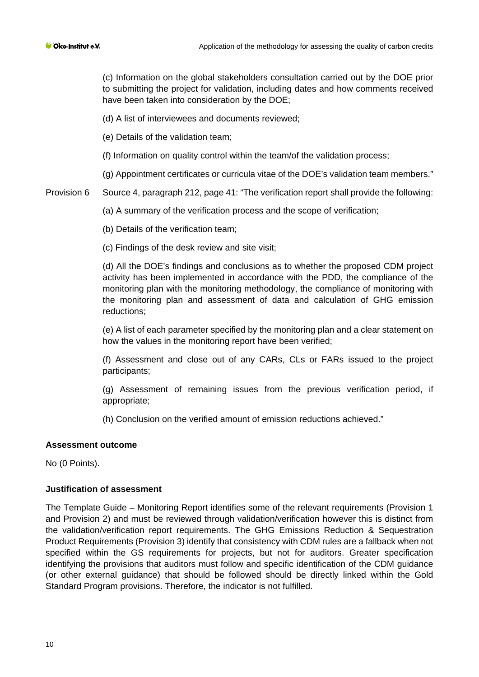(c) Information on the global stakeholders consultation carried out by the DOE prior to submitting the project for validation, including dates and how comments received have been taken into consideration by the DOE;

(d) A list of interviewees and documents reviewed;

(e) Details of the validation team;

(f) Information on quality control within the team/of the validation process;

(g) Appointment certificates or curricula vitae of the DOE's validation team members."

Provision 6 Source 4, paragraph 212, page 41: "The verification report shall provide the following:

(a) A summary of the verification process and the scope of verification;

(b) Details of the verification team;

(c) Findings of the desk review and site visit;

(d) All the DOE's findings and conclusions as to whether the proposed CDM project activity has been implemented in accordance with the PDD, the compliance of the monitoring plan with the monitoring methodology, the compliance of monitoring with the monitoring plan and assessment of data and calculation of GHG emission reductions;

(e) A list of each parameter specified by the monitoring plan and a clear statement on how the values in the monitoring report have been verified;

(f) Assessment and close out of any CARs, CLs or FARs issued to the project participants;

(g) Assessment of remaining issues from the previous verification period, if appropriate;

(h) Conclusion on the verified amount of emission reductions achieved."

#### **Assessment outcome**

No (0 Points).

#### **Justification of assessment**

The Template Guide – Monitoring Report identifies some of the relevant requirements (Provision 1 and Provision 2) and must be reviewed through validation/verification however this is distinct from the validation/verification report requirements. The GHG Emissions Reduction & Sequestration Product Requirements (Provision 3) identify that consistency with CDM rules are a fallback when not specified within the GS requirements for projects, but not for auditors. Greater specification identifying the provisions that auditors must follow and specific identification of the CDM guidance (or other external guidance) that should be followed should be directly linked within the Gold Standard Program provisions. Therefore, the indicator is not fulfilled.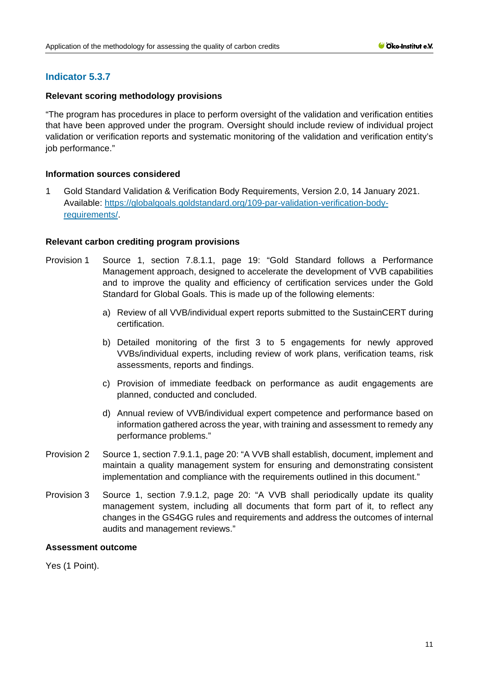# **Indicator 5.3.7**

## **Relevant scoring methodology provisions**

"The program has procedures in place to perform oversight of the validation and verification entities that have been approved under the program. Oversight should include review of individual project validation or verification reports and systematic monitoring of the validation and verification entity's job performance."

### **Information sources considered**

1 Gold Standard Validation & Verification Body Requirements, Version 2.0, 14 January 2021. Available: [https://globalgoals.goldstandard.org/109-par-validation-verification-body](https://globalgoals.goldstandard.org/109-par-validation-verification-body-requirements/)[requirements/.](https://globalgoals.goldstandard.org/109-par-validation-verification-body-requirements/)

### **Relevant carbon crediting program provisions**

- Provision 1 Source 1, section 7.8.1.1, page 19: "Gold Standard follows a Performance Management approach, designed to accelerate the development of VVB capabilities and to improve the quality and efficiency of certification services under the Gold Standard for Global Goals. This is made up of the following elements:
	- a) Review of all VVB/individual expert reports submitted to the SustainCERT during certification.
	- b) Detailed monitoring of the first 3 to 5 engagements for newly approved VVBs/individual experts, including review of work plans, verification teams, risk assessments, reports and findings.
	- c) Provision of immediate feedback on performance as audit engagements are planned, conducted and concluded.
	- d) Annual review of VVB/individual expert competence and performance based on information gathered across the year, with training and assessment to remedy any performance problems."
- Provision 2 Source 1, section 7.9.1.1, page 20: "A VVB shall establish, document, implement and maintain a quality management system for ensuring and demonstrating consistent implementation and compliance with the requirements outlined in this document."
- Provision 3 Source 1, section 7.9.1.2, page 20: "A VVB shall periodically update its quality management system, including all documents that form part of it, to reflect any changes in the GS4GG rules and requirements and address the outcomes of internal audits and management reviews."

#### **Assessment outcome**

Yes (1 Point).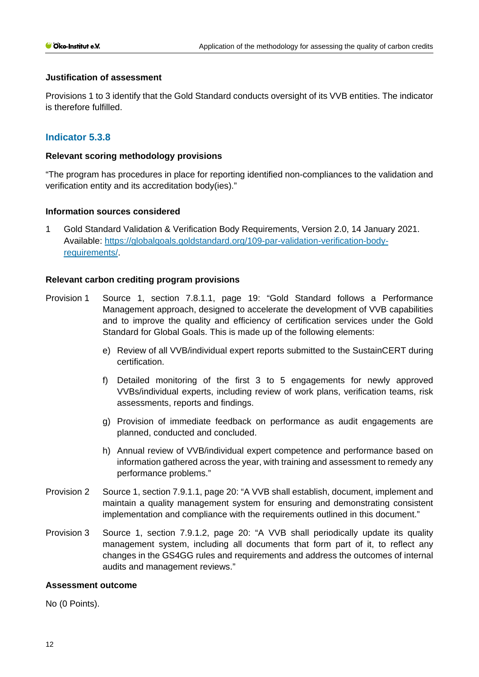### **Justification of assessment**

Provisions 1 to 3 identify that the Gold Standard conducts oversight of its VVB entities. The indicator is therefore fulfilled.

## **Indicator 5.3.8**

### **Relevant scoring methodology provisions**

"The program has procedures in place for reporting identified non-compliances to the validation and verification entity and its accreditation body(ies)."

### **Information sources considered**

1 Gold Standard Validation & Verification Body Requirements, Version 2.0, 14 January 2021. Available: [https://globalgoals.goldstandard.org/109-par-validation-verification-body](https://globalgoals.goldstandard.org/109-par-validation-verification-body-requirements/)[requirements/.](https://globalgoals.goldstandard.org/109-par-validation-verification-body-requirements/)

### **Relevant carbon crediting program provisions**

- Provision 1 Source 1, section 7.8.1.1, page 19: "Gold Standard follows a Performance Management approach, designed to accelerate the development of VVB capabilities and to improve the quality and efficiency of certification services under the Gold Standard for Global Goals. This is made up of the following elements:
	- e) Review of all VVB/individual expert reports submitted to the SustainCERT during certification.
	- f) Detailed monitoring of the first 3 to 5 engagements for newly approved VVBs/individual experts, including review of work plans, verification teams, risk assessments, reports and findings.
	- g) Provision of immediate feedback on performance as audit engagements are planned, conducted and concluded.
	- h) Annual review of VVB/individual expert competence and performance based on information gathered across the year, with training and assessment to remedy any performance problems."
- Provision 2 Source 1, section 7.9.1.1, page 20: "A VVB shall establish, document, implement and maintain a quality management system for ensuring and demonstrating consistent implementation and compliance with the requirements outlined in this document."
- Provision 3 Source 1, section 7.9.1.2, page 20: "A VVB shall periodically update its quality management system, including all documents that form part of it, to reflect any changes in the GS4GG rules and requirements and address the outcomes of internal audits and management reviews."

#### **Assessment outcome**

No (0 Points).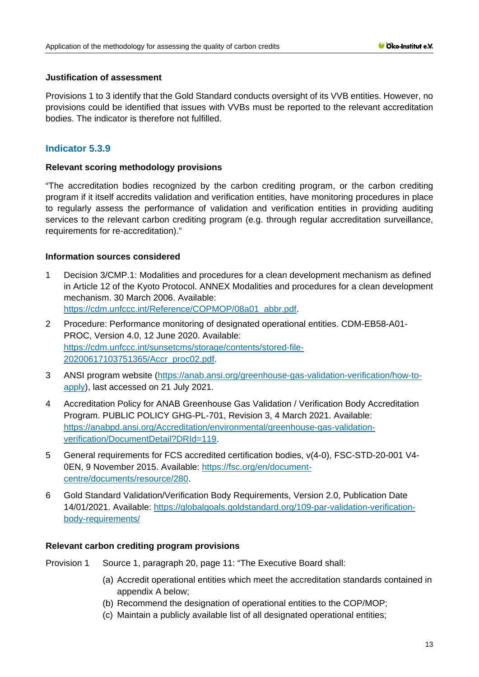## **Justification of assessment**

Provisions 1 to 3 identify that the Gold Standard conducts oversight of its VVB entities. However, no provisions could be identified that issues with VVBs must be reported to the relevant accreditation bodies. The indicator is therefore not fulfilled.

# **Indicator 5.3.9**

## **Relevant scoring methodology provisions**

"The accreditation bodies recognized by the carbon crediting program, or the carbon crediting program if it itself accredits validation and verification entities, have monitoring procedures in place to regularly assess the performance of validation and verification entities in providing auditing services to the relevant carbon crediting program (e.g. through regular accreditation surveillance, requirements for re-accreditation)."

## **Information sources considered**

- 1 Decision 3/CMP.1: Modalities and procedures for a clean development mechanism as defined in Article 12 of the Kyoto Protocol. ANNEX Modalities and procedures for a clean development mechanism. 30 March 2006. Available: [https://cdm.unfccc.int/Reference/COPMOP/08a01\\_abbr.pdf.](https://cdm.unfccc.int/Reference/COPMOP/08a01_abbr.pdf)
- 2 Procedure: Performance monitoring of designated operational entities. CDM-EB58-A01- PROC, Version 4.0, 12 June 2020. Available: [https://cdm.unfccc.int/sunsetcms/storage/contents/stored-file-](https://cdm.unfccc.int/sunsetcms/storage/contents/stored-file-20200617103751365/Accr_proc02.pdf)[20200617103751365/Accr\\_proc02.pdf.](https://cdm.unfccc.int/sunsetcms/storage/contents/stored-file-20200617103751365/Accr_proc02.pdf)
- 3 ANSI program website [\(https://anab.ansi.org/greenhouse-gas-validation-verification/how-to](https://anab.ansi.org/greenhouse-gas-validation-verification/how-to-apply)[apply\)](https://anab.ansi.org/greenhouse-gas-validation-verification/how-to-apply), last accessed on 21 July 2021.
- 4 Accreditation Policy for ANAB Greenhouse Gas Validation / Verification Body Accreditation Program. PUBLIC POLICY GHG-PL-701, Revision 3, 4 March 2021. Available: [https://anabpd.ansi.org/Accreditation/environmental/greenhouse-gas-validation](https://anabpd.ansi.org/Accreditation/environmental/greenhouse-gas-validation-verification/DocumentDetail?DRId=119)[verification/DocumentDetail?DRId=119.](https://anabpd.ansi.org/Accreditation/environmental/greenhouse-gas-validation-verification/DocumentDetail?DRId=119)
- 5 General requirements for FCS accredited certification bodies, v(4-0), FSC-STD-20-001 V4- 0EN, 9 November 2015. Available: [https://fsc.org/en/document](https://fsc.org/en/document-centre/documents/resource/280)[centre/documents/resource/280.](https://fsc.org/en/document-centre/documents/resource/280)
- 6 Gold Standard Validation/Verification Body Requirements, Version 2.0, Publication Date 14/01/2021. Available: [https://globalgoals.goldstandard.org/109-par-validation-verification](https://globalgoals.goldstandard.org/109-par-validation-verification-body-requirements/)[body-requirements/](https://globalgoals.goldstandard.org/109-par-validation-verification-body-requirements/)

- Provision 1 Source 1, paragraph 20, page 11: "The Executive Board shall:
	- (a) Accredit operational entities which meet the accreditation standards contained in appendix A below;
	- (b) Recommend the designation of operational entities to the COP/MOP;
	- (c) Maintain a publicly available list of all designated operational entities;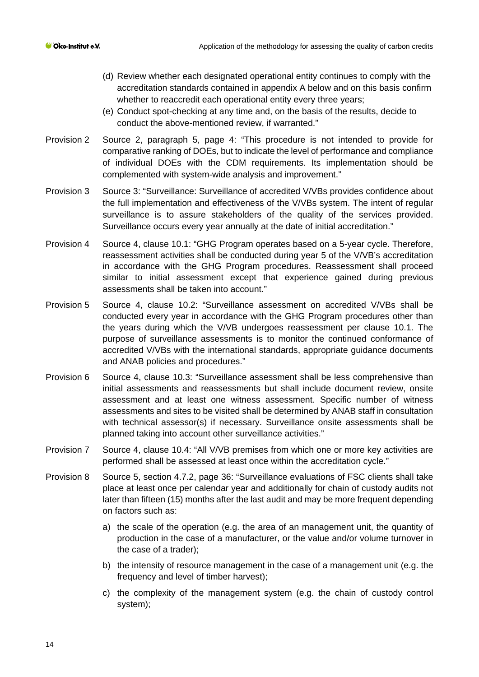- (d) Review whether each designated operational entity continues to comply with the accreditation standards contained in appendix A below and on this basis confirm whether to reaccredit each operational entity every three years;
- (e) Conduct spot-checking at any time and, on the basis of the results, decide to conduct the above-mentioned review, if warranted."
- Provision 2 Source 2, paragraph 5, page 4: "This procedure is not intended to provide for comparative ranking of DOEs, but to indicate the level of performance and compliance of individual DOEs with the CDM requirements. Its implementation should be complemented with system-wide analysis and improvement."
- Provision 3 Source 3: "Surveillance: Surveillance of accredited V/VBs provides confidence about the full implementation and effectiveness of the V/VBs system. The intent of regular surveillance is to assure stakeholders of the quality of the services provided. Surveillance occurs every year annually at the date of initial accreditation."
- Provision 4 Source 4, clause 10.1: "GHG Program operates based on a 5-year cycle. Therefore, reassessment activities shall be conducted during year 5 of the V/VB's accreditation in accordance with the GHG Program procedures. Reassessment shall proceed similar to initial assessment except that experience gained during previous assessments shall be taken into account."
- Provision 5 Source 4, clause 10.2: "Surveillance assessment on accredited V/VBs shall be conducted every year in accordance with the GHG Program procedures other than the years during which the V/VB undergoes reassessment per clause 10.1. The purpose of surveillance assessments is to monitor the continued conformance of accredited V/VBs with the international standards, appropriate guidance documents and ANAB policies and procedures."
- Provision 6 Source 4, clause 10.3: "Surveillance assessment shall be less comprehensive than initial assessments and reassessments but shall include document review, onsite assessment and at least one witness assessment. Specific number of witness assessments and sites to be visited shall be determined by ANAB staff in consultation with technical assessor(s) if necessary. Surveillance onsite assessments shall be planned taking into account other surveillance activities."
- Provision 7 Source 4, clause 10.4: "All V/VB premises from which one or more key activities are performed shall be assessed at least once within the accreditation cycle."
- Provision 8 Source 5, section 4.7.2, page 36: "Surveillance evaluations of FSC clients shall take place at least once per calendar year and additionally for chain of custody audits not later than fifteen (15) months after the last audit and may be more frequent depending on factors such as:
	- a) the scale of the operation (e.g. the area of an management unit, the quantity of production in the case of a manufacturer, or the value and/or volume turnover in the case of a trader);
	- b) the intensity of resource management in the case of a management unit (e.g. the frequency and level of timber harvest);
	- c) the complexity of the management system (e.g. the chain of custody control system);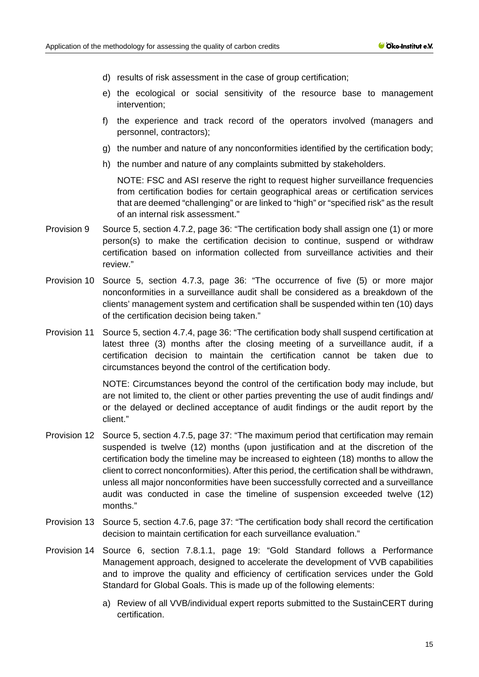- d) results of risk assessment in the case of group certification;
- e) the ecological or social sensitivity of the resource base to management intervention;
- f) the experience and track record of the operators involved (managers and personnel, contractors);
- g) the number and nature of any nonconformities identified by the certification body;
- h) the number and nature of any complaints submitted by stakeholders.

NOTE: FSC and ASI reserve the right to request higher surveillance frequencies from certification bodies for certain geographical areas or certification services that are deemed "challenging" or are linked to "high" or "specified risk" as the result of an internal risk assessment."

- Provision 9 Source 5, section 4.7.2, page 36: "The certification body shall assign one (1) or more person(s) to make the certification decision to continue, suspend or withdraw certification based on information collected from surveillance activities and their review."
- Provision 10 Source 5, section 4.7.3, page 36: "The occurrence of five (5) or more major nonconformities in a surveillance audit shall be considered as a breakdown of the clients' management system and certification shall be suspended within ten (10) days of the certification decision being taken."
- Provision 11 Source 5, section 4.7.4, page 36: "The certification body shall suspend certification at latest three (3) months after the closing meeting of a surveillance audit, if a certification decision to maintain the certification cannot be taken due to circumstances beyond the control of the certification body.

NOTE: Circumstances beyond the control of the certification body may include, but are not limited to, the client or other parties preventing the use of audit findings and/ or the delayed or declined acceptance of audit findings or the audit report by the client."

- Provision 12 Source 5, section 4.7.5, page 37: "The maximum period that certification may remain suspended is twelve (12) months (upon justification and at the discretion of the certification body the timeline may be increased to eighteen (18) months to allow the client to correct nonconformities). After this period, the certification shall be withdrawn, unless all major nonconformities have been successfully corrected and a surveillance audit was conducted in case the timeline of suspension exceeded twelve (12) months."
- Provision 13 Source 5, section 4.7.6, page 37: "The certification body shall record the certification decision to maintain certification for each surveillance evaluation."
- Provision 14 Source 6, section 7.8.1.1, page 19: "Gold Standard follows a Performance Management approach, designed to accelerate the development of VVB capabilities and to improve the quality and efficiency of certification services under the Gold Standard for Global Goals. This is made up of the following elements:
	- a) Review of all VVB/individual expert reports submitted to the SustainCERT during certification.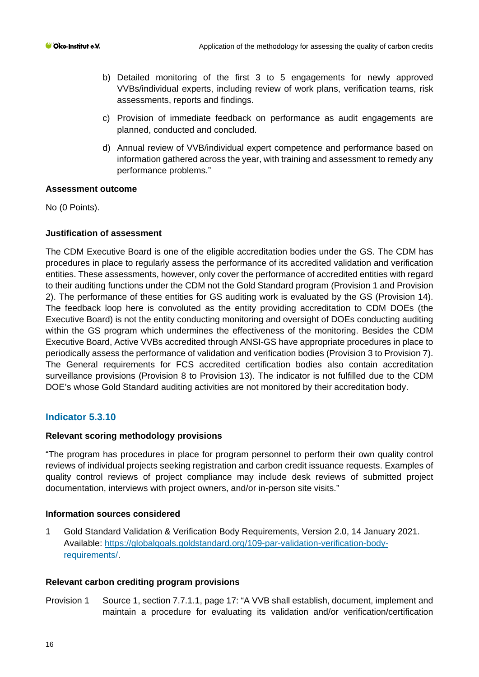- b) Detailed monitoring of the first 3 to 5 engagements for newly approved VVBs/individual experts, including review of work plans, verification teams, risk assessments, reports and findings.
- c) Provision of immediate feedback on performance as audit engagements are planned, conducted and concluded.
- d) Annual review of VVB/individual expert competence and performance based on information gathered across the year, with training and assessment to remedy any performance problems."

### **Assessment outcome**

No (0 Points).

## **Justification of assessment**

The CDM Executive Board is one of the eligible accreditation bodies under the GS. The CDM has procedures in place to regularly assess the performance of its accredited validation and verification entities. These assessments, however, only cover the performance of accredited entities with regard to their auditing functions under the CDM not the Gold Standard program (Provision 1 and Provision 2). The performance of these entities for GS auditing work is evaluated by the GS (Provision 14). The feedback loop here is convoluted as the entity providing accreditation to CDM DOEs (the Executive Board) is not the entity conducting monitoring and oversight of DOEs conducting auditing within the GS program which undermines the effectiveness of the monitoring. Besides the CDM Executive Board, Active VVBs accredited through ANSI-GS have appropriate procedures in place to periodically assess the performance of validation and verification bodies (Provision 3 to Provision 7). The General requirements for FCS accredited certification bodies also contain accreditation surveillance provisions (Provision 8 to Provision 13). The indicator is not fulfilled due to the CDM DOE's whose Gold Standard auditing activities are not monitored by their accreditation body.

## **Indicator 5.3.10**

## **Relevant scoring methodology provisions**

"The program has procedures in place for program personnel to perform their own quality control reviews of individual projects seeking registration and carbon credit issuance requests. Examples of quality control reviews of project compliance may include desk reviews of submitted project documentation, interviews with project owners, and/or in-person site visits."

## **Information sources considered**

1 Gold Standard Validation & Verification Body Requirements, Version 2.0, 14 January 2021. Available: [https://globalgoals.goldstandard.org/109-par-validation-verification-body](https://globalgoals.goldstandard.org/109-par-validation-verification-body-requirements/)[requirements/.](https://globalgoals.goldstandard.org/109-par-validation-verification-body-requirements/)

#### **Relevant carbon crediting program provisions**

Provision 1 Source 1, section 7.7.1.1, page 17: "A VVB shall establish, document, implement and maintain a procedure for evaluating its validation and/or verification/certification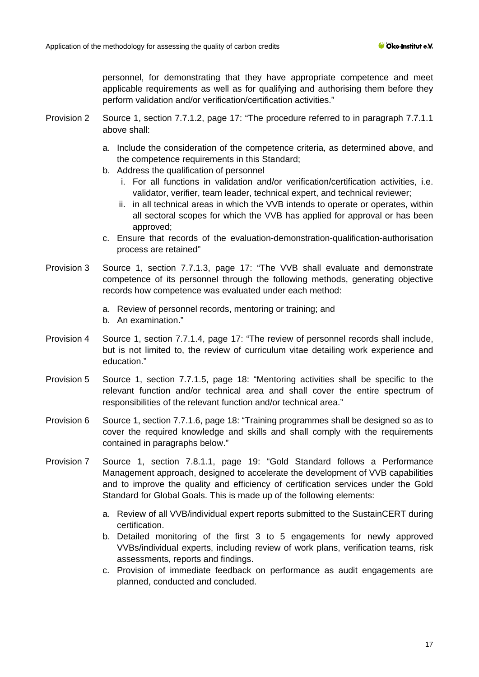personnel, for demonstrating that they have appropriate competence and meet applicable requirements as well as for qualifying and authorising them before they perform validation and/or verification/certification activities."

- Provision 2 Source 1, section 7.7.1.2, page 17: "The procedure referred to in paragraph 7.7.1.1 above shall:
	- a. Include the consideration of the competence criteria, as determined above, and the competence requirements in this Standard;
	- b. Address the qualification of personnel
		- i. For all functions in validation and/or verification/certification activities, i.e. validator, verifier, team leader, technical expert, and technical reviewer;
		- ii. in all technical areas in which the VVB intends to operate or operates, within all sectoral scopes for which the VVB has applied for approval or has been approved;
	- c. Ensure that records of the evaluation-demonstration-qualification-authorisation process are retained"
- Provision 3 Source 1, section 7.7.1.3, page 17: "The VVB shall evaluate and demonstrate competence of its personnel through the following methods, generating objective records how competence was evaluated under each method:
	- a. Review of personnel records, mentoring or training; and
	- b. An examination."
- Provision 4 Source 1, section 7.7.1.4, page 17: "The review of personnel records shall include, but is not limited to, the review of curriculum vitae detailing work experience and education."
- Provision 5 Source 1, section 7.7.1.5, page 18: "Mentoring activities shall be specific to the relevant function and/or technical area and shall cover the entire spectrum of responsibilities of the relevant function and/or technical area."
- Provision 6 Source 1, section 7.7.1.6, page 18: "Training programmes shall be designed so as to cover the required knowledge and skills and shall comply with the requirements contained in paragraphs below."
- Provision 7 Source 1, section 7.8.1.1, page 19: "Gold Standard follows a Performance Management approach, designed to accelerate the development of VVB capabilities and to improve the quality and efficiency of certification services under the Gold Standard for Global Goals. This is made up of the following elements:
	- a. Review of all VVB/individual expert reports submitted to the SustainCERT during certification.
	- b. Detailed monitoring of the first 3 to 5 engagements for newly approved VVBs/individual experts, including review of work plans, verification teams, risk assessments, reports and findings.
	- c. Provision of immediate feedback on performance as audit engagements are planned, conducted and concluded.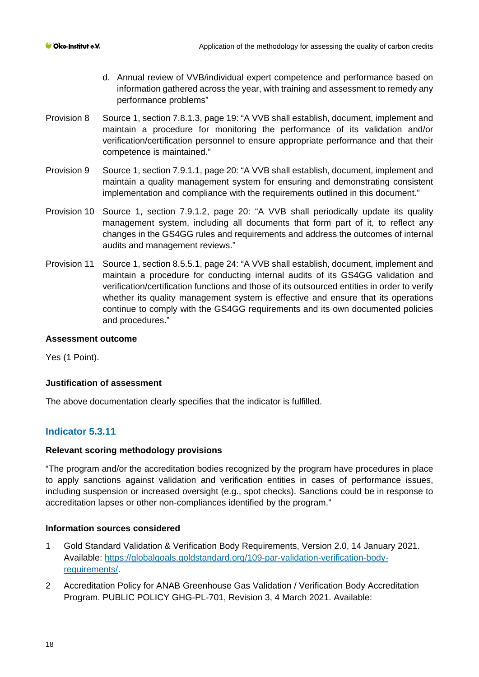- d. Annual review of VVB/individual expert competence and performance based on information gathered across the year, with training and assessment to remedy any performance problems"
- Provision 8 Source 1, section 7.8.1.3, page 19: "A VVB shall establish, document, implement and maintain a procedure for monitoring the performance of its validation and/or verification/certification personnel to ensure appropriate performance and that their competence is maintained."
- Provision 9 Source 1, section 7.9.1.1, page 20: "A VVB shall establish, document, implement and maintain a quality management system for ensuring and demonstrating consistent implementation and compliance with the requirements outlined in this document."
- Provision 10 Source 1, section 7.9.1.2, page 20: "A VVB shall periodically update its quality management system, including all documents that form part of it, to reflect any changes in the GS4GG rules and requirements and address the outcomes of internal audits and management reviews."
- Provision 11 Source 1, section 8.5.5.1, page 24: "A VVB shall establish, document, implement and maintain a procedure for conducting internal audits of its GS4GG validation and verification/certification functions and those of its outsourced entities in order to verify whether its quality management system is effective and ensure that its operations continue to comply with the GS4GG requirements and its own documented policies and procedures."

## **Assessment outcome**

Yes (1 Point).

#### **Justification of assessment**

The above documentation clearly specifies that the indicator is fulfilled.

# **Indicator 5.3.11**

#### **Relevant scoring methodology provisions**

"The program and/or the accreditation bodies recognized by the program have procedures in place to apply sanctions against validation and verification entities in cases of performance issues, including suspension or increased oversight (e.g., spot checks). Sanctions could be in response to accreditation lapses or other non-compliances identified by the program."

#### **Information sources considered**

- 1 Gold Standard Validation & Verification Body Requirements, Version 2.0, 14 January 2021. Available: [https://globalgoals.goldstandard.org/109-par-validation-verification-body](https://globalgoals.goldstandard.org/109-par-validation-verification-body-requirements/)[requirements/.](https://globalgoals.goldstandard.org/109-par-validation-verification-body-requirements/)
- 2 Accreditation Policy for ANAB Greenhouse Gas Validation / Verification Body Accreditation Program. PUBLIC POLICY GHG-PL-701, Revision 3, 4 March 2021. Available: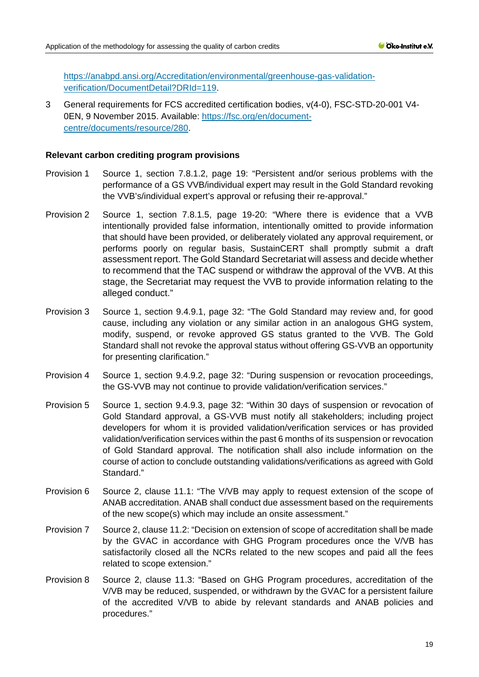[https://anabpd.ansi.org/Accreditation/environmental/greenhouse-gas-validation](https://anabpd.ansi.org/Accreditation/environmental/greenhouse-gas-validation-verification/DocumentDetail?DRId=119)[verification/DocumentDetail?DRId=119.](https://anabpd.ansi.org/Accreditation/environmental/greenhouse-gas-validation-verification/DocumentDetail?DRId=119)

3 General requirements for FCS accredited certification bodies, v(4-0), FSC-STD-20-001 V4- 0EN, 9 November 2015. Available: [https://fsc.org/en/document](https://fsc.org/en/document-centre/documents/resource/280)[centre/documents/resource/280.](https://fsc.org/en/document-centre/documents/resource/280)

- Provision 1 Source 1, section 7.8.1.2, page 19: "Persistent and/or serious problems with the performance of a GS VVB/individual expert may result in the Gold Standard revoking the VVB's/individual expert's approval or refusing their re-approval."
- Provision 2 Source 1, section 7.8.1.5, page 19-20: "Where there is evidence that a VVB intentionally provided false information, intentionally omitted to provide information that should have been provided, or deliberately violated any approval requirement, or performs poorly on regular basis, SustainCERT shall promptly submit a draft assessment report. The Gold Standard Secretariat will assess and decide whether to recommend that the TAC suspend or withdraw the approval of the VVB. At this stage, the Secretariat may request the VVB to provide information relating to the alleged conduct."
- Provision 3 Source 1, section 9.4.9.1, page 32: "The Gold Standard may review and, for good cause, including any violation or any similar action in an analogous GHG system, modify, suspend, or revoke approved GS status granted to the VVB. The Gold Standard shall not revoke the approval status without offering GS-VVB an opportunity for presenting clarification."
- Provision 4 Source 1, section 9.4.9.2, page 32: "During suspension or revocation proceedings, the GS-VVB may not continue to provide validation/verification services."
- Provision 5 Source 1, section 9.4.9.3, page 32: "Within 30 days of suspension or revocation of Gold Standard approval, a GS-VVB must notify all stakeholders; including project developers for whom it is provided validation/verification services or has provided validation/verification services within the past 6 months of its suspension or revocation of Gold Standard approval. The notification shall also include information on the course of action to conclude outstanding validations/verifications as agreed with Gold Standard."
- Provision 6 Source 2, clause 11.1: "The V/VB may apply to request extension of the scope of ANAB accreditation. ANAB shall conduct due assessment based on the requirements of the new scope(s) which may include an onsite assessment."
- Provision 7 Source 2, clause 11.2: "Decision on extension of scope of accreditation shall be made by the GVAC in accordance with GHG Program procedures once the V/VB has satisfactorily closed all the NCRs related to the new scopes and paid all the fees related to scope extension."
- Provision 8 Source 2, clause 11.3: "Based on GHG Program procedures, accreditation of the V/VB may be reduced, suspended, or withdrawn by the GVAC for a persistent failure of the accredited V/VB to abide by relevant standards and ANAB policies and procedures."